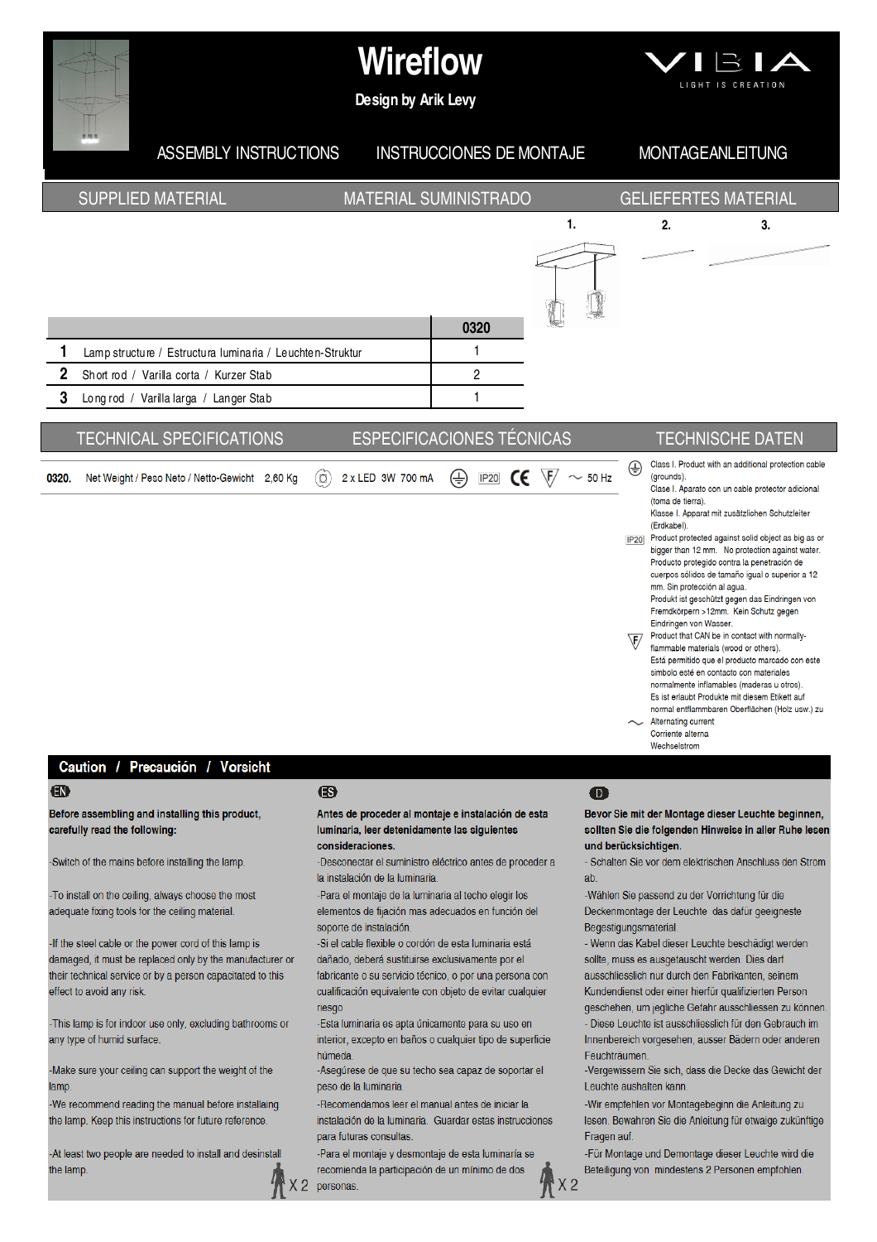

-To install on the ceiling, always choose the most adequate fixing tools for the ceiling material.

-If the steel cable or the power cord of this lamp is damaged, it must be replaced only by the manufacturer or their technical service or by a person capacitated to this effect to avoid any risk.

-This lamp is for indoor use only, excluding bathrooms or any type of humid surface.

-Make sure your ceiling can support the weight of the lamp.

-We recommend reading the manual before installaing the lamp. Keep this instructions for future reference.

-At least two people are needed to install and desinstall the lamp.

-Para el montaje de la luminaria al techo elegir los elementos de fijación mas adecuados en función del soporte de instalación.

-Si el cable flexible o cordón de esta luminaria está dañado, deberá sustituirse exclusivamente por el fabricante o su servicio técnico, o por una persona con cualificación equivalente con objeto de evitar cualquier riesgo

-Esta luminaria es apta únicamente para su uso en interior, excepto en baños o cualquier tipo de superficie húmeda

-Asegúrese de que su techo sea capaz de soportar el peso de la luminaria

-Recomendamos leer el manual antes de iniciar la instalación de la luminaria Guardar estas instrucciones para futuras consultas

-Para el montaje y desmontaje de esta luminaría se recomienda la participación de un mínimo de dos

X 2 personas

-Wählen Sie passend zu der Vorrichtung für die Deckenmontage der Leuchte das dafür geeigneste Begestigungsmaterial.

- Wenn das Kabel dieser Leuchte beschädigt werden sollte, muss es ausgetauscht werden. Dies darf ausschliesslich nur durch den Fabrikanten, seinem

Kundendienst oder einer hierfür qualifizierten Person geschehen, um jegliche Gefahr ausschliessen zu können.

- Diese Leuchte ist ausschliesslich für den Gebrauch im Innenbereich vorgesehen, ausser Bädern oder anderen Feuchträumen.

-Vergewissern Sie sich, dass die Decke das Gewicht der Leuchte aushalten kann.

-Wir empfehlen vor Montagebeginn die Anleitung zu lesen. Bewahren Sie die Anleitung für etwaige zukünftige Fragen auf

-Für Montage und Demontage dieser Leuchte wird die Beteiligung von mindestens 2 Personen empfohlen.

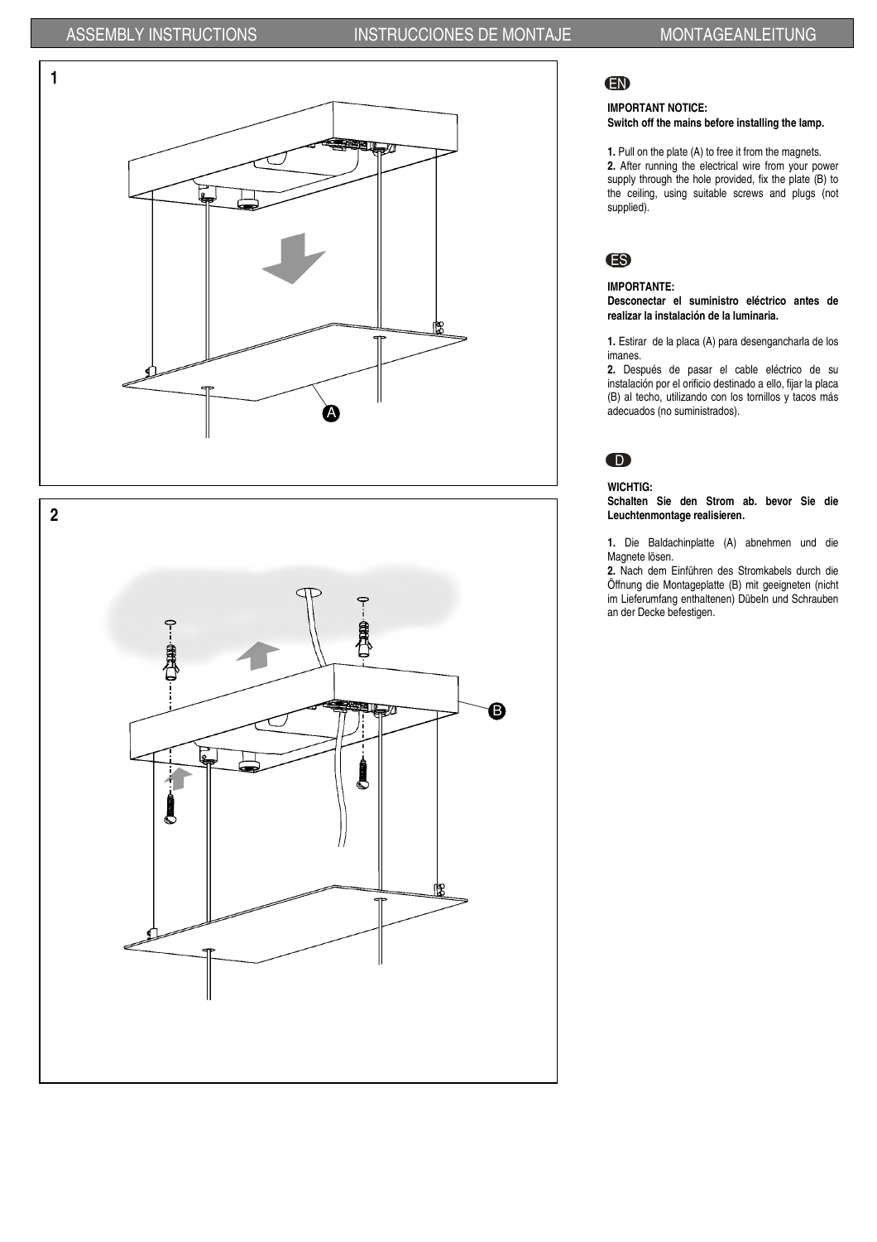

# EN

### IMPORTANT NOTICE: Switch off the mains before installing the lamp.

1. Pull on the plate (A) to free it from the magnets. 2. After running the electrical wire from your power supply through the hole provided, fix the plate (B) to the ceiling, using suitable screws and plugs (not supplied).

# ES

## IMPORTANTE:

Desconectar el suministro eléctrico antes de realizar la instalación de la luminaria.

1. Estirar de la placa (A) para desengancharla de los imanes.

2. Después de pasar el cable eléctrico de su instalación por el orificio destinado a ello, fijar la placa (B) al techo, utilizando con los tornillos y tacos más adecuados (no suministrados).

# $\mathbf D$

## WICHTIG:

Schalten Sie den Strom ab. bevor Sie die Leuchtenmontage realisieren.

1. Die Baldachinplatte (A) abnehmen und die Magnete lösen.

2. Nach dem Einführen des Stromkabels durch die Öffnung die Montageplatte (B) mit geeigneten (nicht im Lieferumfang enthaltenen) Dübeln und Schrauben an der Decke befestigen.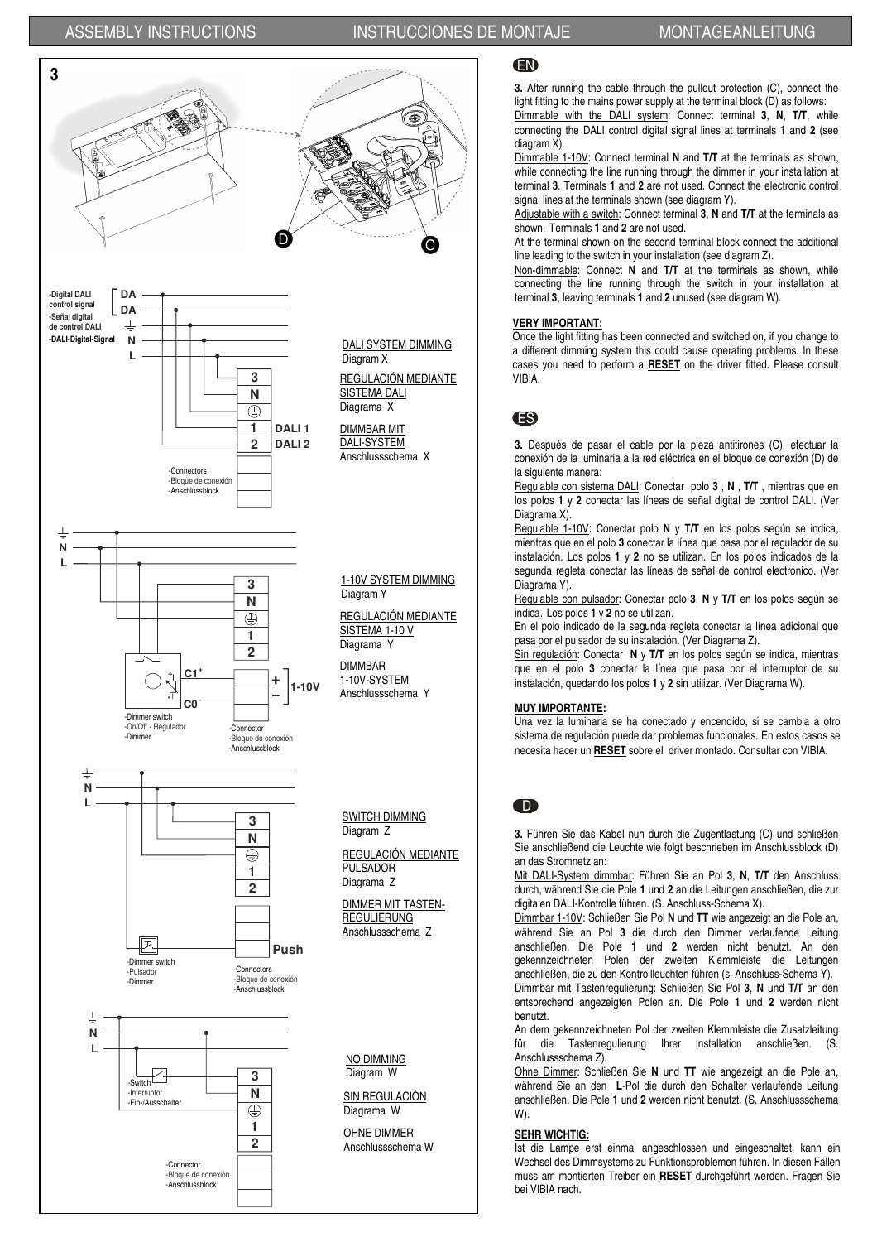## ASSEMBLY INSTRUCTIONS INSTRUCCIONES DE MONTAJE MONTAGEANLEITUNG



EN

3. After running the cable through the pullout protection (C), connect the light fitting to the mains power supply at the terminal block (D) as follows: Dimmable with the DALI system: Connect terminal 3, N, T/T, while connecting the DALI control digital signal lines at terminals 1 and 2 (see

diagram X).

Dimmable 1-10V: Connect terminal N and T/T at the terminals as shown, while connecting the line running through the dimmer in your installation at terminal 3. Terminals 1 and 2 are not used. Connect the electronic control signal lines at the terminals shown (see diagram Y).

Adjustable with a switch: Connect terminal 3, N and T/T at the terminals as shown. Terminals 1 and 2 are not used.

At the terminal shown on the second terminal block connect the additional line leading to the switch in your installation (see diagram Z).

Non-dimmable: Connect N and T/T at the terminals as shown, while connecting the line running through the switch in your installation at terminal 3, leaving terminals 1 and 2 unused (see diagram W).

### VERY IMPORTANT:

Once the light fitting has been connected and switched on, if you change to a different dimming system this could cause operating problems. In these cases you need to perform a RESET on the driver fitted. Please consult VIBIA.

## ES

3. Después de pasar el cable por la pieza antitirones (C), efectuar la conexión de la luminaria a la red eléctrica en el bloque de conexión (D) de la siguiente manera:

Regulable con sistema DALI: Conectar polo 3, N, T/T, mientras que en los polos 1 y 2 conectar las líneas de señal digital de control DALI. (Ver Diagrama X).

Regulable 1-10V: Conectar polo N y T/T en los polos según se indica, mientras que en el polo 3 conectar la línea que pasa por el regulador de su instalación. Los polos 1 y 2 no se utilizan. En los polos indicados de la segunda regleta conectar las líneas de señal de control electrónico. (Ver Diagrama Y).

Regulable con pulsador: Conectar polo 3, N y T/T en los polos según se indica. Los polos 1 y 2 no se utilizan.

En el polo indicado de la segunda regleta conectar la línea adicional que pasa por el pulsador de su instalación. (Ver Diagrama Z).

Sin regulación: Conectar N y T/T en los polos según se indica, mientras que en el polo 3 conectar la línea que pasa por el interruptor de su instalación, quedando los polos 1 y 2 sin utilizar. (Ver Diagrama W).

### MUY IMPORTANTE:

Una vez la luminaria se ha conectado y encendido, si se cambia a otro sistema de regulación puede dar problemas funcionales. En estos casos se necesita hacer un RESET sobre el driver montado. Consultar con VIBIA.

## D

3. Führen Sie das Kabel nun durch die Zugentlastung (C) und schließen Sie anschließend die Leuchte wie folgt beschrieben im Anschlussblock (D) an das Stromnetz an:

Mit DALI-System dimmbar: Führen Sie an Pol 3, N, T/T den Anschluss durch, während Sie die Pole 1 und 2 an die Leitungen anschließen, die zur digitalen DALI-Kontrolle führen. (S. Anschluss-Schema X).

Dimmbar 1-10V: Schließen Sie Pol N und TT wie angezeigt an die Pole an, während Sie an Pol 3 die durch den Dimmer verlaufende Leitung anschließen. Die Pole 1 und 2 werden nicht benutzt. An den gekennzeichneten Polen der zweiten Klemmleiste die Leitungen anschließen, die zu den Kontrollleuchten führen (s. Anschluss-Schema Y).

Dimmbar mit Tastenregulierung: Schließen Sie Pol 3, N und T/T an den entsprechend angezeigten Polen an. Die Pole 1 und 2 werden nicht benutzt.

An dem gekennzeichneten Pol der zweiten Klemmleiste die Zusatzleitung für die Tastenregulierung Ihrer Installation anschließen. Anschlussschema Z).

Ohne Dimmer: Schließen Sie N und TT wie angezeigt an die Pole an, während Sie an den L-Pol die durch den Schalter verlaufende Leitung anschließen. Die Pole 1 und 2 werden nicht benutzt. (S. Anschlussschema W).

### SEHR WICHTIG:

Ist die Lampe erst einmal angeschlossen und eingeschaltet, kann ein Wechsel des Dimmsystems zu Funktionsproblemen führen. In diesen Fällen muss am montierten Treiber ein RESET durchgeführt werden. Fragen Sie bei VIBIA nach.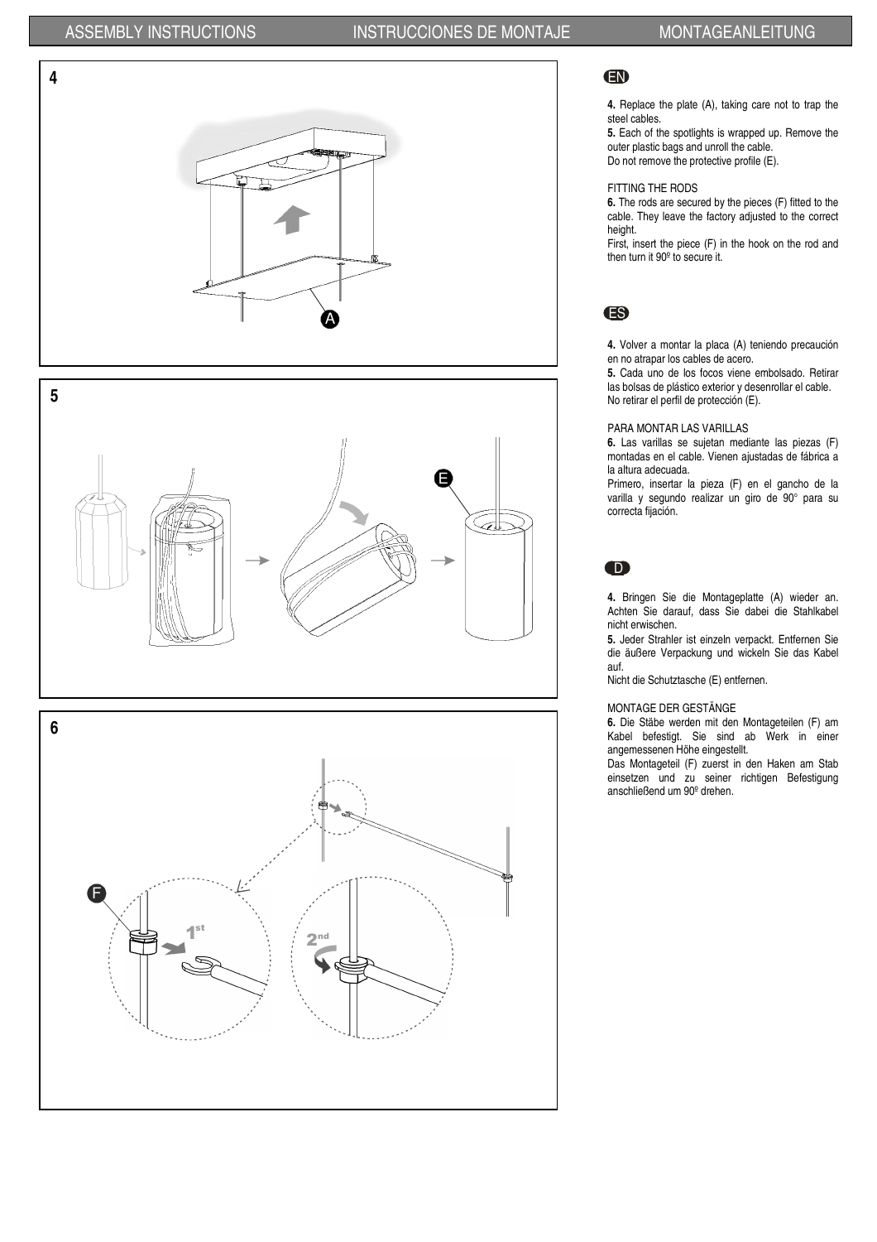# ASSEMBLY INSTRUCTIONS INSTRUCCIONES DE MONTAJE MONTAGEANLEITUNG









# EN

4. Replace the plate (A), taking care not to trap the steel cables.

5. Each of the spotlights is wrapped up. Remove the outer plastic bags and unroll the cable. Do not remove the protective profile (E).

### FITTING THE RODS

6. The rods are secured by the pieces (F) fitted to the cable. They leave the factory adjusted to the correct height.

First, insert the piece (F) in the hook on the rod and then turn it 90º to secure it.

## ES

4. Volver a montar la placa (A) teniendo precaución en no atrapar los cables de acero.

5. Cada uno de los focos viene embolsado. Retirar las bolsas de plástico exterior y desenrollar el cable. No retirar el perfil de protección (E).

### PARA MONTAR LAS VARILLAS

6. Las varillas se sujetan mediante las piezas (F) montadas en el cable. Vienen ajustadas de fábrica a la altura adecuada.

Primero, insertar la pieza (F) en el gancho de la varilla y segundo realizar un giro de 90° para su correcta fijación.

# D

4. Bringen Sie die Montageplatte (A) wieder an. Achten Sie darauf, dass Sie dabei die Stahlkabel nicht erwischen.

5. Jeder Strahler ist einzeln verpackt. Entfernen Sie die äußere Verpackung und wickeln Sie das Kabel auf.

Nicht die Schutztasche (E) entfernen.

### MONTAGE DER GESTÄNGE

6. Die Stäbe werden mit den Montageteilen (F) am Kabel befestigt. Sie sind ab Werk in einer angemessenen Höhe eingestellt.

Das Montageteil (F) zuerst in den Haken am Stab einsetzen und zu seiner richtigen Befestigung anschließend um 90º drehen.